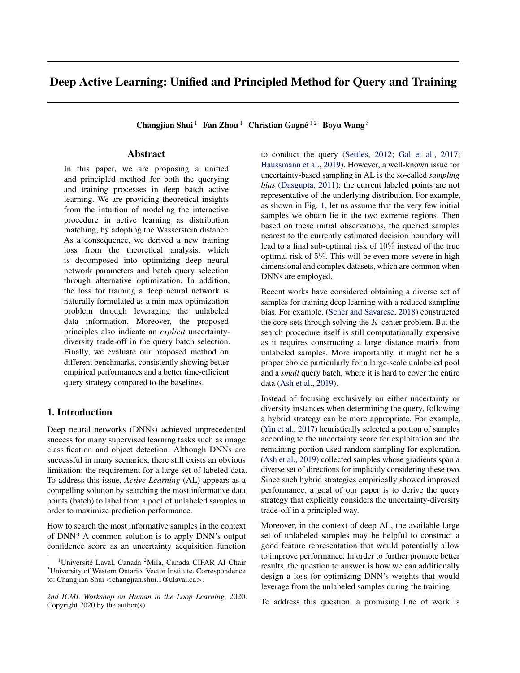# Deep Active Learning: Unified and Principled Method for Query and Training

Changjian Shui<sup>1</sup> Fan Zhou<sup>1</sup> Christian Gagné<sup>12</sup> Boyu Wang<sup>3</sup>

# Abstract

In this paper, we are proposing a unified and principled method for both the querying and training processes in deep batch active learning. We are providing theoretical insights from the intuition of modeling the interactive procedure in active learning as distribution matching, by adopting the Wasserstein distance. As a consequence, we derived a new training loss from the theoretical analysis, which is decomposed into optimizing deep neural network parameters and batch query selection through alternative optimization. In addition, the loss for training a deep neural network is naturally formulated as a min-max optimization problem through leveraging the unlabeled data information. Moreover, the proposed principles also indicate an *explicit* uncertaintydiversity trade-off in the query batch selection. Finally, we evaluate our proposed method on different benchmarks, consistently showing better empirical performances and a better time-efficient query strategy compared to the baselines.

# 1. Introduction

Deep neural networks (DNNs) achieved unprecedented success for many supervised learning tasks such as image classification and object detection. Although DNNs are successful in many scenarios, there still exists an obvious limitation: the requirement for a large set of labeled data. To address this issue, *Active Learning* (AL) appears as a compelling solution by searching the most informative data points (batch) to label from a pool of unlabeled samples in order to maximize prediction performance.

How to search the most informative samples in the context of DNN? A common solution is to apply DNN's output confidence score as an uncertainty acquisition function

to conduct the query [\(Settles,](#page-8-0) [2012;](#page-8-0) [Gal et al.,](#page-7-0) [2017;](#page-7-0) [Haussmann et al.,](#page-8-0) [2019\)](#page-8-0). However, a well-known issue for uncertainty-based sampling in AL is the so-called *sampling bias* [\(Dasgupta,](#page-7-0) [2011\)](#page-7-0): the current labeled points are not representative of the underlying distribution. For example, as shown in Fig. [1,](#page-1-0) let us assume that the very few initial samples we obtain lie in the two extreme regions. Then based on these initial observations, the queried samples nearest to the currently estimated decision boundary will lead to a final sub-optimal risk of 10% instead of the true optimal risk of 5%. This will be even more severe in high dimensional and complex datasets, which are common when DNNs are employed.

Recent works have considered obtaining a diverse set of samples for training deep learning with a reduced sampling bias. For example, [\(Sener and Savarese,](#page-8-0) [2018\)](#page-8-0) constructed the core-sets through solving the  $K$ -center problem. But the search procedure itself is still computationally expensive as it requires constructing a large distance matrix from unlabeled samples. More importantly, it might not be a proper choice particularly for a large-scale unlabeled pool and a *small* query batch, where it is hard to cover the entire data [\(Ash et al.,](#page-7-0) [2019\)](#page-7-0).

Instead of focusing exclusively on either uncertainty or diversity instances when determining the query, following a hybrid strategy can be more appropriate. For example, [\(Yin et al.,](#page-8-0) [2017\)](#page-8-0) heuristically selected a portion of samples according to the uncertainty score for exploitation and the remaining portion used random sampling for exploration. [\(Ash et al.,](#page-7-0) [2019\)](#page-7-0) collected samples whose gradients span a diverse set of directions for implicitly considering these two. Since such hybrid strategies empirically showed improved performance, a goal of our paper is to derive the query strategy that explicitly considers the uncertainty-diversity trade-off in a principled way.

Moreover, in the context of deep AL, the available large set of unlabeled samples may be helpful to construct a good feature representation that would potentially allow to improve performance. In order to further promote better results, the question to answer is how we can additionally design a loss for optimizing DNN's weights that would leverage from the unlabeled samples during the training.

To address this question, a promising line of work is

<sup>&</sup>lt;sup>1</sup>Université Laval, Canada <sup>2</sup>Mila, Canada CIFAR AI Chair <sup>3</sup>University of Western Ontario, Vector Institute. Correspondence to: Changjian Shui <changjian.shui.1@ulaval.ca>.

*<sup>2</sup>nd ICML Workshop on Human in the Loop Learning*, 2020. Copyright 2020 by the author(s).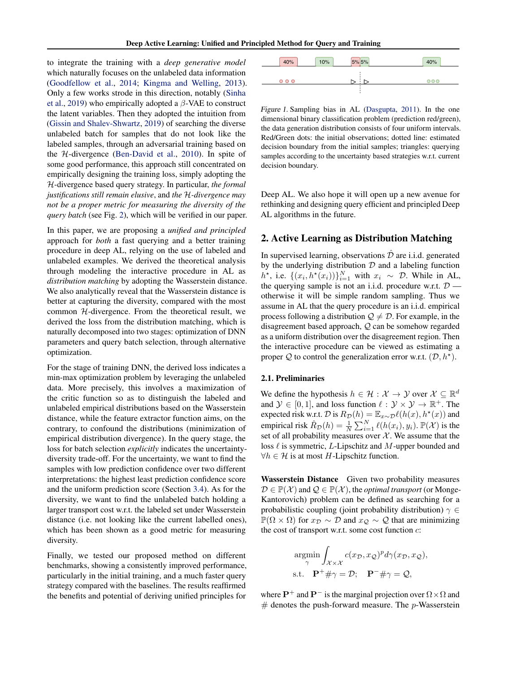<span id="page-1-0"></span>to integrate the training with a *deep generative model* which naturally focuses on the unlabeled data information [\(Goodfellow et al.,](#page-7-0) [2014;](#page-7-0) [Kingma and Welling,](#page-8-0) [2013\)](#page-8-0). Only a few works strode in this direction, notably [\(Sinha](#page-8-0) [et al.,](#page-8-0) [2019\)](#page-8-0) who empirically adopted a  $\beta$ -VAE to construct the latent variables. Then they adopted the intuition from [\(Gissin and Shalev-Shwartz,](#page-7-0) [2019\)](#page-7-0) of searching the diverse unlabeled batch for samples that do not look like the labeled samples, through an adversarial training based on the H-divergence [\(Ben-David et al.,](#page-7-0) [2010\)](#page-7-0). In spite of some good performance, this approach still concentrated on empirically designing the training loss, simply adopting the H-divergence based query strategy. In particular, *the formal justifications still remain elusive*, and *the* H*-divergence may not be a proper metric for measuring the diversity of the query batch* (see Fig. [2\)](#page-2-0), which will be verified in our paper.

In this paper, we are proposing a *unified and principled* approach for *both* a fast querying and a better training procedure in deep AL, relying on the use of labeled and unlabeled examples. We derived the theoretical analysis through modeling the interactive procedure in AL as *distribution matching* by adopting the Wasserstein distance. We also analytically reveal that the Wasserstein distance is better at capturing the diversity, compared with the most common  $H$ -divergence. From the theoretical result, we derived the loss from the distribution matching, which is naturally decomposed into two stages: optimization of DNN parameters and query batch selection, through alternative optimization.

For the stage of training DNN, the derived loss indicates a min-max optimization problem by leveraging the unlabeled data. More precisely, this involves a maximization of the critic function so as to distinguish the labeled and unlabeled empirical distributions based on the Wasserstein distance, while the feature extractor function aims, on the contrary, to confound the distributions (minimization of empirical distribution divergence). In the query stage, the loss for batch selection *explicitly* indicates the uncertaintydiversity trade-off. For the uncertainty, we want to find the samples with low prediction confidence over two different interpretations: the highest least prediction confidence score and the uniform prediction score (Section [3.4\)](#page-4-0). As for the diversity, we want to find the unlabeled batch holding a larger transport cost w.r.t. the labeled set under Wasserstein distance (i.e. not looking like the current labelled ones), which has been shown as a good metric for measuring diversity. the rate is exactly and a single procedure model. The merchanic model is exactly also the single principles in the single principle is the single principle in the single principle is the single principle in the single pri

Finally, we tested our proposed method on different benchmarks, showing a consistently improved performance, particularly in the initial training, and a much faster query strategy compared with the baselines. The results reaffirmed



Figure 1. Sampling bias in AL [\(Dasgupta,](#page-7-0) [2011\)](#page-7-0). In the one dimensional binary classification problem (prediction red/green), the data generation distribution consists of four uniform intervals. Red/Green dots: the initial observations; dotted line: estimated decision boundary from the initial samples; triangles: querying samples according to the uncertainty based strategies w.r.t. current decision boundary.

Deep AL. We also hope it will open up a new avenue for rethinking and designing query efficient and principled Deep AL algorithms in the future.

# 2. Active Learning as Distribution Matching

In supervised learning, observations  $D$  are i.i.d. generated by the underlying distribution  $D$  and a labeling function  $h^*$ , i.e.  $\{(x_i, h^*(x_i))\}_{i=1}^N$  with  $x_i \sim \mathcal{D}$ . While in AL, the querying sample is not an i.i.d. procedure w.r.t.  $D$  otherwise it will be simple random sampling. Thus we assume in AL that the query procedure is an i.i.d. empirical process following a distribution  $\mathcal{Q} \neq \mathcal{D}$ . For example, in the disagreement based approach, Q can be somehow regarded as a uniform distribution over the disagreement region. Then the interactive procedure can be viewed as estimating a proper Q to control the generalization error w.r.t.  $(D, h^*)$ .

#### 2.1. Preliminaries

We define the hypothesis  $h \in \mathcal{H} : \mathcal{X} \to \mathcal{Y}$  over  $\mathcal{X} \subseteq \mathbb{R}^d$ and  $\mathcal{Y} \in [0, 1]$ , and loss function  $\ell : \mathcal{Y} \times \mathcal{Y} \to \mathbb{R}^+$ . The expected risk w.r.t.  $\mathcal D$  is  $R_{\mathcal D}(h) = \mathbb E_{x \sim \mathcal D} \ell(h(x), h^\star(x))$  and empirical risk  $\hat{R}_{\mathcal{D}}(h) = \frac{1}{N} \sum_{i=1}^{N} \ell(h(x_i), y_i)$ .  $\mathbb{P}(\mathcal{X})$  is the set of all probability measures over  $X$ . We assume that the loss  $\ell$  is symmetric, L-Lipschitz and M-upper bounded and  $\forall h \in \mathcal{H}$  is at most H-Lipschitz function.

Wasserstein Distance Given two probability measures  $\mathcal{D} \in \mathbb{P}(\mathcal{X})$  and  $\mathcal{Q} \in \mathbb{P}(\mathcal{X})$ , the *optimal transport* (or Monge-Kantorovich) problem can be defined as searching for a probabilistic coupling (joint probability distribution)  $\gamma \in$  $\mathbb{P}(\Omega \times \Omega)$  for  $x_{\mathcal{D}} \sim \mathcal{D}$  and  $x_{\mathcal{Q}} \sim \mathcal{Q}$  that are minimizing the cost of transport w.r.t. some cost function  $c$ :

$$
\underset{\gamma}{\operatorname{argmin}} \int_{\mathcal{X} \times \mathcal{X}} c(x_{\mathcal{D}}, x_{\mathcal{Q}})^p d\gamma(x_{\mathcal{D}}, x_{\mathcal{Q}}),
$$
  
s.t.  $\mathbf{P}^+ \# \gamma = \mathcal{D}; \quad \mathbf{P}^- \# \gamma = \mathcal{Q},$ 

where  $\mathbf{P}^+$  and  $\mathbf{P}^-$  is the marginal projection over  $\Omega \times \Omega$  and  $#$  denotes the push-forward measure. The p-Wasserstein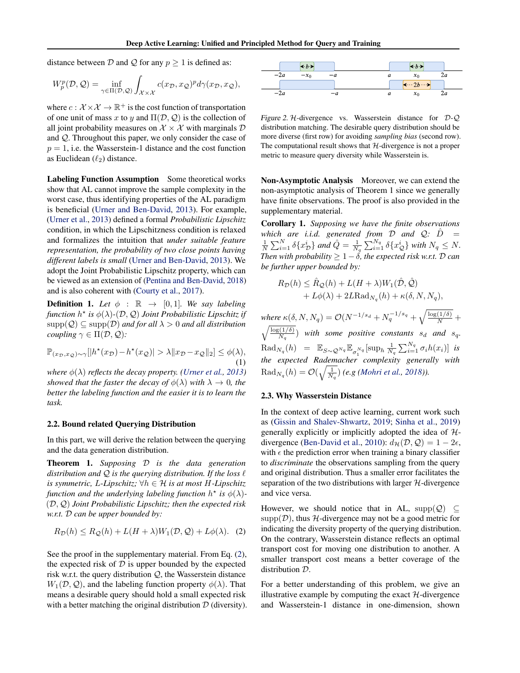<span id="page-2-0"></span>distance between  $D$  and  $Q$  for any  $p \ge 1$  is defined as:

$$
W_p^p(\mathcal{D}, \mathcal{Q}) = \inf_{\gamma \in \Pi(\mathcal{D}, \mathcal{Q})} \int_{\mathcal{X} \times \mathcal{X}} c(x_{\mathcal{D}}, x_{\mathcal{Q}})^p d\gamma(x_{\mathcal{D}}, x_{\mathcal{Q}}),
$$

where  $c: \mathcal{X} \times \mathcal{X} \to \mathbb{R}^+$  is the cost function of transportation of one unit of mass x to y and  $\Pi(\mathcal{D}, \mathcal{Q})$  is the collection of all joint probability measures on  $\mathcal{X} \times \mathcal{X}$  with marginals  $\mathcal{D}$ and Q. Throughout this paper, we only consider the case of  $p = 1$ , i.e. the Wasserstein-1 distance and the cost function as Euclidean  $(\ell_2)$  distance.

Labeling Function Assumption Some theoretical works show that AL cannot improve the sample complexity in the worst case, thus identifying properties of the AL paradigm is beneficial [\(Urner and Ben-David,](#page-8-0) [2013\)](#page-8-0). For example, [\(Urner et al.,](#page-8-0) [2013\)](#page-8-0) defined a formal *Probabilistic Lipschitz* condition, in which the Lipschitzness condition is relaxed and formalizes the intuition that *under suitable feature representation, the probability of two close points having different labels is small* [\(Urner and Ben-David,](#page-8-0) [2013\)](#page-8-0). We adopt the Joint Probabilistic Lipschitz property, which can be viewed as an extension of [\(Pentina and Ben-David,](#page-8-0) [2018\)](#page-8-0) and is also coherent with [\(Courty et al.,](#page-7-0) [2017\)](#page-7-0).

**Definition 1.** Let  $\phi$  :  $\mathbb{R} \rightarrow [0, 1]$ *. We say labeling* function  $h^{\star}$  is  $\phi(\lambda)$ - $(\mathcal{D}, \mathcal{Q})$  *Joint Probabilistic Lipschitz if*  $\text{supp}(\mathcal{Q}) \subseteq \text{supp}(\mathcal{D})$  *and for all*  $\lambda > 0$  *and all distribution coupling*  $\gamma \in \Pi(\mathcal{D}, \mathcal{Q})$ *:* 

$$
\mathbb{P}_{(x_{\mathcal{D}},x_{\mathcal{Q}})\sim\gamma}[|h^\star(x_{\mathcal{D}})-h^\star(x_{\mathcal{Q}})|>\lambda\|x_{\mathcal{D}}-x_{\mathcal{Q}}\|_2]\leq\phi(\lambda),\tag{1}
$$

*where*  $\phi(\lambda)$  *reflects the decay property. [\(Urner et al.,](#page-8-0) [2013\)](#page-8-0) showed that the faster the decay of*  $\phi(\lambda)$  *with*  $\lambda \to 0$ *, the better the labeling function and the easier it is to learn the task.*

### 2.2. Bound related Querying Distribution

In this part, we will derive the relation between the querying and the data generation distribution.

Theorem 1. *Supposing* D *is the data generation distribution and*  $Q$  *is the querying distribution. If the loss*  $\ell$ *is symmetric,* L-Lipschitz;  $\forall h \in \mathcal{H}$  *is at most H-Lipschitz function and the underlying labeling function*  $h^*$  *is*  $\phi(\lambda)$ -(D, Q) *Joint Probabilistic Lipschitz; then the expected risk w.r.t.* D *can be upper bounded by:*

$$
R_{\mathcal{D}}(h) \le R_{\mathcal{Q}}(h) + L(H + \lambda)W_1(\mathcal{D}, \mathcal{Q}) + L\phi(\lambda). \quad (2)
$$

See the proof in the supplementary material. From Eq. (2), the expected risk of  $D$  is upper bounded by the expected risk w.r.t. the query distribution Q, the Wasserstein distance  $W_1(\mathcal{D}, \mathcal{Q})$ , and the labeling function property  $\phi(\lambda)$ . That means a desirable query should hold a small expected risk with a better matching the original distribution  $D$  (diversity).



Figure 2. H-divergence vs. Wasserstein distance for  $\mathcal{D}$ -Q distribution matching. The desirable query distribution should be more diverse (first row) for avoiding *sampling bias* (second row). The computational result shows that  $H$ -divergence is not a proper metric to measure query diversity while Wasserstein is.

Non-Asymptotic Analysis Moreover, we can extend the non-asymptotic analysis of Theorem 1 since we generally have finite observations. The proof is also provided in the supplementary material.

Corollary 1. *Supposing we have the finite observations which are i.i.d. generated from*  $\overline{D}$  *and*  $\overline{Q}$ *:*  $\hat{D}$  =  $\frac{1}{N}\sum_{i=1}^{N}\delta\{x_{\mathcal{D}}^{i}\}$  and  $\hat{Q} = \frac{1}{N_{q}}\sum_{i=1}^{N_{q}}\delta\{x_{\mathcal{Q}}^{i}\}$  with  $N_{q} \leq N$ . *Then with probability* ≥ 1−δ*, the expected risk w.r.t.* D *can be further upper bounded by:*

$$
R_{\mathcal{D}}(h) \leq \hat{R}_{\mathcal{Q}}(h) + L(H + \lambda)W_1(\hat{\mathcal{D}}, \hat{\mathcal{Q}})
$$
  
+  $L\phi(\lambda) + 2L\text{Rad}_{N_q}(h) + \kappa(\delta, N, N_q),$ 

*where*  $\kappa(\delta, N, N_q) = \mathcal{O}(N^{-1/s_d} + N_q^{-1/s_q} + \sqrt{\frac{\log(1/\delta)}{N}} + \frac{\log(1/\delta)}{N}$  $\sqrt{\frac{\log(1/\delta)}{N_q}}$  *with some positive constants*  $s_d$  *and*  $s_q$ *.*  $\text{Rad}_{N_q}(h) = \mathbb{E}_{S \sim \mathcal{Q}^{N_q}} \mathbb{E}_{\sigma_1^{N_q}} [\sup_h \frac{1}{N_q} \sum_{i=1}^{N_q} \sigma_i h(x_i)]$  *is the expected Rademacher complexity generally with*  $\operatorname{Rad}_{N_q}(h)=\mathcal{O}(\sqrt{\frac{1}{N_q}})$  (e.g [\(Mohri et al.,](#page-8-0) [2018\)](#page-8-0)).

### 2.3. Why Wasserstein Distance

In the context of deep active learning, current work such as [\(Gissin and Shalev-Shwartz,](#page-7-0) [2019;](#page-7-0) [Sinha et al.,](#page-8-0) [2019\)](#page-8-0) generally explicitly or implicitly adopted the idea of  $H$ -divergence [\(Ben-David et al.,](#page-7-0) [2010\)](#page-7-0):  $d_{\mathcal{H}}(\mathcal{D}, \mathcal{Q}) = 1 - 2\epsilon$ , with  $\epsilon$  the prediction error when training a binary classifier to *discriminate* the observations sampling from the query and original distribution. Thus a smaller error facilitates the separation of the two distributions with larger  $H$ -divergence and vice versa.

However, we should notice that in AL, supp $(Q) \subseteq$  $supp(D)$ , thus H-divergence may not be a good metric for indicating the diversity property of the querying distribution. On the contrary, Wasserstein distance reflects an optimal transport cost for moving one distribution to another. A smaller transport cost means a better coverage of the distribution D.

For a better understanding of this problem, we give an illustrative example by computing the exact  $H$ -divergence and Wasserstein-1 distance in one-dimension, shown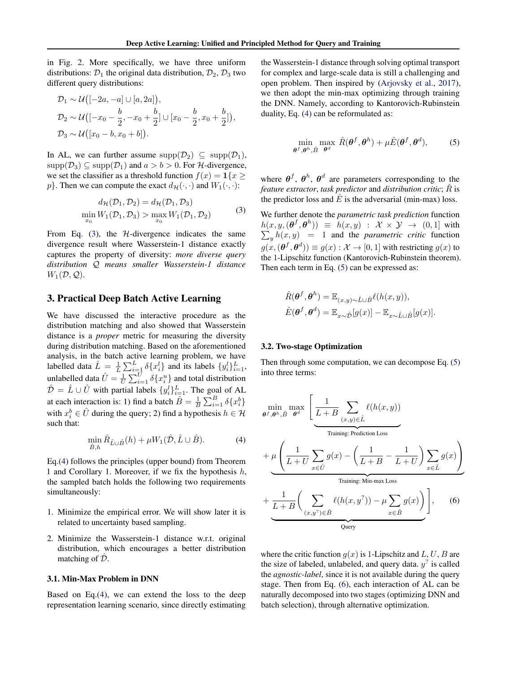<span id="page-3-0"></span>in Fig. [2.](#page-2-0) More specifically, we have three uniform distributions:  $\mathcal{D}_1$  the original data distribution,  $\mathcal{D}_2$ ,  $\mathcal{D}_3$  two different query distributions:

$$
\mathcal{D}_1 \sim \mathcal{U}\big([-2a, -a] \cup [a, 2a]\big),
$$
  
\n
$$
\mathcal{D}_2 \sim \mathcal{U}\big([-x_0 - \frac{b}{2}, -x_0 + \frac{b}{2}]\cup[x_0 - \frac{b}{2}, x_0 + \frac{b}{2}]\big),
$$
  
\n
$$
\mathcal{D}_3 \sim \mathcal{U}\big([x_0 - b, x_0 + b]\big).
$$

In AL, we can further assume  $\text{supp}(\mathcal{D}_2) \subseteq \text{supp}(\mathcal{D}_1)$ ,  $\text{supp}(\mathcal{D}_3) \subseteq \text{supp}(\mathcal{D}_1)$  and  $a > b > 0$ . For H-divergence, we set the classifier as a threshold function  $f(x) = \mathbf{1}\{x \geq 1\}$  $p$ . Then we can compute the exact  $d_{\mathcal{H}}(\cdot, \cdot)$  and  $W_1(\cdot, \cdot)$ :

$$
d_{\mathcal{H}}(\mathcal{D}_1, \mathcal{D}_2) = d_{\mathcal{H}}(\mathcal{D}_1, \mathcal{D}_3)
$$
  
\n
$$
\min_{x_0} W_1(\mathcal{D}_1, \mathcal{D}_3) > \max_{x_0} W_1(\mathcal{D}_1, \mathcal{D}_2)
$$
\n(3)

From Eq.  $(3)$ , the *H*-divergence indicates the same divergence result where Wasserstein-1 distance exactly captures the property of diversity: *more diverse query distribution* Q *means smaller Wasserstein-1 distance*  $W_1(\mathcal{D}, \mathcal{Q})$ .

# 3. Practical Deep Batch Active Learning

We have discussed the interactive procedure as the distribution matching and also showed that Wasserstein distance is a *proper* metric for measuring the diversity during distribution matching. Based on the aforementioned analysis, in the batch active learning problem, we have labelled data  $\hat{L} = \frac{1}{L} \sum_{i=1}^{L} \delta \{x_i^l\}$  and its labels  $\{y_i^l\}_{i=1}^{L}$ , unlabelled data  $\hat{U} = \frac{1}{U} \sum_{i=1}^{U} \delta \{x_i^u\}$  and total distribution  $\hat{\mathcal{D}} = \hat{L} \cup \hat{U}$  with partial labels  $\{y_i^l\}_{i=1}^L$ . The goal of AL at each interaction is: 1) find a batch  $\hat{B} = \frac{1}{B} \sum_{i=1}^{B} \delta \{x_i^b\}$ with  $x_i^b \in \hat{U}$  during the query; 2) find a hypothesis  $h \in \mathcal{H}$ such that:

$$
\min_{\hat{B},h} \hat{R}_{\hat{L}\cup\hat{B}}(h) + \mu W_1(\hat{\mathcal{D}}, \hat{L}\cup\hat{B}).\tag{4}
$$

Eq.(4) follows the principles (upper bound) from Theorem 1 and Corollary 1. Moreover, if we fix the hypothesis  $h$ , the sampled batch holds the following two requirements simultaneously:

- 1. Minimize the empirical error. We will show later it is related to uncertainty based sampling.
- 2. Minimize the Wasserstein-1 distance w.r.t. original distribution, which encourages a better distribution matching of  $\tilde{\mathcal{D}}$ .

#### 3.1. Min-Max Problem in DNN

Based on Eq.(4), we can extend the loss to the deep representation learning scenario, since directly estimating the Wasserstein-1 distance through solving optimal transport for complex and large-scale data is still a challenging and open problem. Then inspired by [\(Arjovsky et al.,](#page-7-0) [2017\)](#page-7-0), we then adopt the min-max optimizing through training the DNN. Namely, according to Kantorovich-Rubinstein duality, Eq. (4) can be reformulated as:

$$
\min_{\boldsymbol{\theta}^f, \boldsymbol{\theta}^h, \hat{B}} \max_{\boldsymbol{\theta}^d} \hat{R}(\boldsymbol{\theta}^f, \boldsymbol{\theta}^h) + \mu \hat{E}(\boldsymbol{\theta}^f, \boldsymbol{\theta}^d), \tag{5}
$$

where  $\theta^f$ ,  $\theta^h$ ,  $\theta^d$  are parameters corresponding to the *feature extractor, task predictor and distribution critic;*  $\hat{R}$  is the predictor loss and  $\hat{E}$  is the adversarial (min-max) loss.

We further denote the *parametric task prediction* function  $h(x,y,(\boldsymbol{\theta}^f,\boldsymbol{\theta}^h)) \equiv h(x,y) : \mathcal{X} \times \mathcal{Y} \rightarrow (0,1]$  with  $\sum_{y} h(x, y) = 1$  and the *parametric critic* function  $g(x, (\boldsymbol{\theta}^f, \boldsymbol{\theta}^d)) \equiv g(x): \mathcal{X} \rightarrow [0, 1]$  with restricting  $g(x)$  to the 1-Lipschitz function (Kantorovich-Rubinstein theorem). Then each term in Eq. (5) can be expressed as:

$$
\hat{R}(\boldsymbol{\theta}^{f}, \boldsymbol{\theta}^{h}) = \mathbb{E}_{(x,y)\sim \hat{L}\cup \hat{B}} \ell(h(x,y)),
$$
  

$$
\hat{E}(\boldsymbol{\theta}^{f}, \boldsymbol{\theta}^{d}) = \mathbb{E}_{x\sim \hat{D}}[g(x)] - \mathbb{E}_{x\sim \hat{L}\cup \hat{B}}[g(x)].
$$

#### 3.2. Two-stage Optimization

Then through some computation, we can decompose Eq. (5) into three terms:

$$
\min_{\theta^f, \theta^h, \hat{B}} \max_{\theta^d} \left[ \frac{1}{L+B} \sum_{(x,y)\in \hat{L}} \ell(h(x,y)) \right]
$$
\n
$$
+ \mu \left( \frac{1}{L+U} \sum_{x\in \hat{U}} g(x) - \left( \frac{1}{L+B} - \frac{1}{L+U} \right) \sum_{x\in \hat{L}} g(x) \right)
$$
\n
$$
+ \frac{1}{L+B} \left( \sum_{(x,y^2)\in \hat{B}} \ell(h(x,y^2)) - \mu \sum_{x\in \hat{B}} g(x) \right)
$$
\n
$$
\underbrace{\left( \sum_{(x,y^2)\in \hat{B}} \ell(h(x,y^2)) - \mu \sum_{x\in \hat{B}} g(x) \right)}_{\text{Query}} \right], \quad (6)
$$

where the critic function  $g(x)$  is 1-Lipschitz and L, U, B are the size of labeled, unlabeled, and query data.  $y^2$  is called the *agnostic-label*, since it is not available during the query stage. Then from Eq. (6), each interaction of AL can be naturally decomposed into two stages (optimizing DNN and batch selection), through alternative optimization.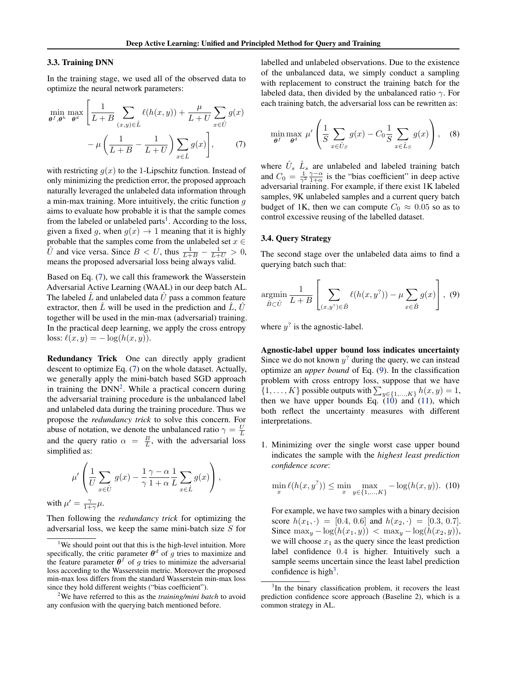#### <span id="page-4-0"></span>3.3. Training DNN

In the training stage, we used all of the observed data to optimize the neural network parameters:

$$
\min_{\theta^f, \theta^h} \max_{\theta^d} \left[ \frac{1}{L+B} \sum_{(x,y)\in \hat{L}} \ell(h(x,y)) + \frac{\mu}{L+U} \sum_{x\in \hat{U}} g(x) - \mu \left( \frac{1}{L+B} - \frac{1}{L+U} \right) \sum_{x\in \hat{L}} g(x) \right], \tag{7}
$$

with restricting  $q(x)$  to the 1-Lipschitz function. Instead of only minimizing the prediction error, the proposed approach naturally leveraged the unlabeled data information through a min-max training. More intuitively, the critic function  $g$ aims to evaluate how probable it is that the sample comes from the labeled or unlabeled parts<sup>1</sup>. According to the loss, given a fixed g, when  $g(x) \rightarrow 1$  meaning that it is highly probable that the samples come from the unlabeled set  $x \in$  $\hat{U}$  and vice versa. Since  $B < U$ , thus  $\frac{1}{L+B} - \frac{1}{L+U} > 0$ , means the proposed adversarial loss being always valid.

Based on Eq. (7), we call this framework the Wasserstein Adversarial Active Learning (WAAL) in our deep batch AL. The labeled  $L$  and unlabeled data  $U$  pass a common feature extractor, then  $\overline{L}$  will be used in the prediction and  $\overline{L}$ ,  $\overline{U}$ together will be used in the min-max (adversarial) training. In the practical deep learning, we apply the cross entropy loss:  $\ell(x, y) = -\log(h(x, y)).$ 

Redundancy Trick One can directly apply gradient descent to optimize Eq. (7) on the whole dataset. Actually, we generally apply the mini-batch based SGD approach in training the  $DNN<sup>2</sup>$ . While a practical concern during the adversarial training procedure is the unbalanced label and unlabeled data during the training procedure. Thus we propose the *redundancy trick* to solve this concern. For abuse of notation, we denote the unbalanced ratio  $\gamma = \frac{U}{L}$ and the query ratio  $\alpha = \frac{B}{L}$ , with the adversarial loss simplified as:

$$
\mu' \left( \frac{1}{U} \sum_{x \in \hat{U}} g(x) - \frac{1}{\gamma} \frac{\gamma - \alpha}{1 + \alpha} \frac{1}{L} \sum_{x \in \hat{L}} g(x) \right),
$$

with  $\mu' = \frac{\gamma}{1+\gamma}\mu$ .

Then following the *redundancy trick* for optimizing the adversarial loss, we keep the same mini-batch size S for labelled and unlabeled observations. Due to the existence of the unbalanced data, we simply conduct a sampling with replacement to construct the training batch for the labeled data, then divided by the unbalanced ratio  $\gamma$ . For each training batch, the adversarial loss can be rewritten as:

$$
\min_{\theta^f} \max_{\theta^d} \mu' \left( \frac{1}{S} \sum_{x \in \hat{U}_S} g(x) - C_0 \frac{1}{S} \sum_{x \in \hat{L}_S} g(x) \right), \quad (8)
$$

where  $\hat{U}_s$   $\hat{L}_s$  are unlabeled and labeled training batch and  $C_0 = \frac{1}{\gamma^2} \frac{\gamma - \alpha}{1 + \alpha}$  is the "bias coefficient" in deep active adversarial training. For example, if there exist 1K labeled samples, 9K unlabeled samples and a current query batch budget of 1K, then we can compute  $C_0 \approx 0.05$  so as to control excessive reusing of the labelled dataset.

# 3.4. Query Strategy

The second stage over the unlabeled data aims to find a querying batch such that:

$$
\underset{\hat{B}\subset\hat{U}}{\operatorname{argmin}}\,\frac{1}{L+B}\left[\sum_{(x,y^?)\in\hat{B}}\ell(h(x,y^?))-\mu\sum_{x\in\hat{B}}g(x)\right],\tag{9}
$$

where  $y^2$  is the agnostic-label.

Agnostic-label upper bound loss indicates uncertainty Since we do not known  $y^2$  during the query, we can instead optimize an *upper bound* of Eq. (9). In the classification problem with cross entropy loss, suppose that we have  $\{1, \ldots, K\}$  possible outputs with  $\sum_{y \in \{1, \ldots, K\}} h(x, y) = 1$ , then we have upper bounds Eq.  $(10)$  and  $(11)$ , which both reflect the uncertainty measures with different interpretations.

1. Minimizing over the single worst case upper bound indicates the sample with the *highest least prediction confidence score*:

$$
\min_{x} \ell(h(x, y^?)) \le \min_{x} \max_{y \in \{1, \dots, K\}} -\log(h(x, y)). \tag{10}
$$

For example, we have two samples with a binary decision score  $h(x_1, \cdot) = [0.4, 0.6]$  and  $h(x_2, \cdot) = [0.3, 0.7]$ . Since  $\max_y -\log(h(x_1, y)) < \max_y -\log(h(x_2, y)),$ we will choose  $x_1$  as the query since the least prediction label confidence 0.4 is higher. Intuitively such a sample seems uncertain since the least label prediction confidence is high<sup>3</sup>.

<sup>&</sup>lt;sup>1</sup>We should point out that this is the high-level intuition. More specifically, the critic parameter  $\theta^d$  of g tries to maximize and the feature parameter  $\hat{\theta}^{f}$  of g tries to minimize the adversarial loss according to the Wasserstein metric. Moreover the proposed min-max loss differs from the standard Wasserstein min-max loss since they hold different weights ("bias coefficient").

<sup>2</sup>We have referred to this as the *training/mini batch* to avoid any confusion with the querying batch mentioned before.

<sup>&</sup>lt;sup>3</sup>In the binary classification problem, it recovers the least prediction confidence score approach (Baseline 2), which is a common strategy in AL.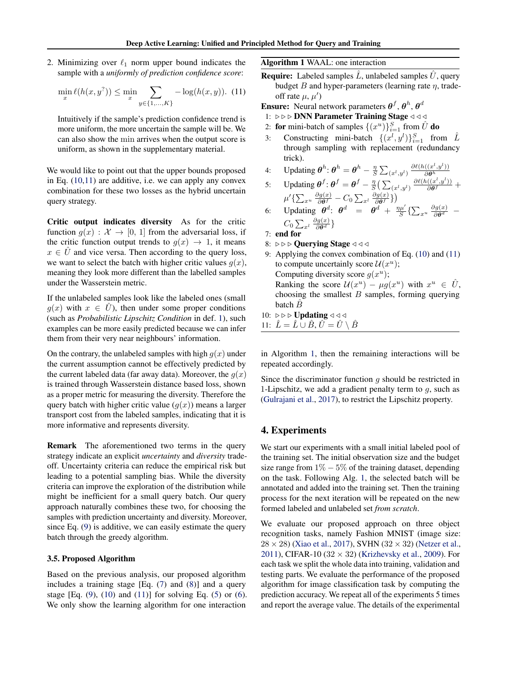<span id="page-5-0"></span>2. Minimizing over  $\ell_1$  norm upper bound indicates the sample with a *uniformly of prediction confidence score*:

$$
\min_{x} \ell(h(x, y^?)) \le \min_{x} \sum_{y \in \{1, ..., K\}} -\log(h(x, y)). \tag{11}
$$

Intuitively if the sample's prediction confidence trend is more uniform, the more uncertain the sample will be. We can also show the min arrives when the output score is uniform, as shown in the supplementary material.

We would like to point out that the upper bounds proposed in Eq. [\(10,](#page-4-0)11) are additive, i.e. we can apply any convex combination for these two losses as the hybrid uncertain query strategy.

Critic output indicates diversity As for the critic function  $g(x) : \mathcal{X} \to [0, 1]$  from the adversarial loss, if the critic function output trends to  $q(x) \rightarrow 1$ , it means  $x \in \hat{U}$  and vice versa. Then according to the query loss, we want to select the batch with higher critic values  $q(x)$ , meaning they look more different than the labelled samples under the Wasserstein metric.

If the unlabeled samples look like the labeled ones (small  $g(x)$  with  $x \in \hat{U}$ , then under some proper conditions (such as *Probabilistic Lipschitz Condition* in def. [1\)](#page-2-0), such examples can be more easily predicted because we can infer them from their very near neighbours' information.

On the contrary, the unlabeled samples with high  $g(x)$  under the current assumption cannot be effectively predicted by the current labeled data (far away data). Moreover, the  $q(x)$ is trained through Wasserstein distance based loss, shown as a proper metric for measuring the diversity. Therefore the query batch with higher critic value  $(g(x))$  means a larger transport cost from the labeled samples, indicating that it is more informative and represents diversity.

Remark The aforementioned two terms in the query strategy indicate an explicit *uncertainty* and *diversity* tradeoff. Uncertainty criteria can reduce the empirical risk but leading to a potential sampling bias. While the diversity criteria can improve the exploration of the distribution while might be inefficient for a small query batch. Our query approach naturally combines these two, for choosing the samples with prediction uncertainty and diversity. Moreover, since Eq. [\(9\)](#page-4-0) is additive, we can easily estimate the query batch through the greedy algorithm.

# 3.5. Proposed Algorithm

Based on the previous analysis, our proposed algorithm includes a training stage [Eq. [\(7\)](#page-4-0) and [\(8\)](#page-4-0)] and a query stage [Eq.  $(9)$ ,  $(10)$  and  $(11)$ ] for solving Eq.  $(5)$  or  $(6)$ . We only show the learning algorithm for one interaction

Algorithm 1 WAAL: one interaction

- **Require:** Labeled samples  $\hat{L}$ , unlabeled samples  $\hat{U}$ , query budget B and hyper-parameters (learning rate  $\eta$ , tradeoff rate  $\mu, \mu'$ )
- **Ensure:** Neural network parameters  $\theta^f$ ,  $\theta^h$ ,  $\theta^d$ 
	- 1:  $\rho \rho \geqslant$  DNN Parameter Training Stage  $\triangleleft \triangleleft \triangleleft$
	- 2: for mini-batch of samples  $\{(x^u)\}_{i=1}^S$  from  $\hat{U}$  do
	- 3: Constructing mini-batch  $\{(x^l, y^l)\}_{i=1}^S$  from  $\hat{L}$ through sampling with replacement (redundancy trick).
	- 4: Updating  $\boldsymbol{\theta}^h$ :  $\boldsymbol{\theta}^h = \boldsymbol{\theta}^h \frac{\eta}{S} \sum_{(x^l, y^l)} \frac{\partial \ell(h((x^l, y^l))}{\partial \boldsymbol{\theta}^h}$

5: Updating 
$$
\theta^f
$$
:  $\theta^f = \theta^f - \frac{\eta}{S} \left( \sum_{(x^l, y^l)} \frac{\partial \theta^h}{\partial \theta^f} \right)$   
\n $\mu' \left\{ \sum_{x^u} \frac{\partial g(x)}{\partial \theta^f} - C_0 \sum_{x^l} \frac{\partial g(x)}{\partial \theta^f} \right\}$ 

6: Updating 
$$
\theta^d
$$
:  $\theta^d = \theta^d + \frac{\eta \mu'}{S} \left\{ \sum_{x^u} \frac{\partial g(x)}{\partial \theta^d} - C_0 \sum_{x^l} \frac{\partial g(x)}{\partial \theta^d} \right\}$ 

7: end for

- 8:  $\triangleright \triangleright \triangleright$  Querying Stage  $\triangleleft \triangleleft \triangleleft$
- 9: Applying the convex combination of Eq. [\(10\)](#page-4-0) and (11) to compute uncertainly score  $\mathcal{U}(x^u)$ ; Computing diversity score  $g(x^u)$ ; Ranking the score  $\mathcal{U}(x^u) - \mu g(x^u)$  with  $x^u \in \hat{U}$ , choosing the smallest  $B$  samples, forming querying batch  $\overline{B}$
- 10:  $\rhd \rhd \rhd$  Updating  $\lhd \lhd \lhd$ 11:  $\hat{L} = \hat{L} \cup \hat{B}, \hat{U} = \hat{U} \setminus \hat{B}$

in Algorithm 1, then the remaining interactions will be repeated accordingly.

Since the discriminator function  $g$  should be restricted in 1-Lipschitz, we add a gradient penalty term to  $q$ , such as [\(Gulrajani et al.,](#page-7-0) [2017\)](#page-7-0), to restrict the Lipschitz property.

# 4. Experiments

We start our experiments with a small initial labeled pool of the training set. The initial observation size and the budget size range from  $1\% - 5\%$  of the training dataset, depending on the task. Following Alg. 1, the selected batch will be annotated and added into the training set. Then the training process for the next iteration will be repeated on the new formed labeled and unlabeled set *from scratch*.

We evaluate our proposed approach on three object recognition tasks, namely Fashion MNIST (image size:  $28 \times 28$ ) [\(Xiao et al.,](#page-8-0) [2017\)](#page-8-0), SVHN (32  $\times$  32) [\(Netzer et al.,](#page-8-0) [2011\)](#page-8-0), CIFAR-10 ( $32 \times 32$ ) [\(Krizhevsky et al.,](#page-8-0) [2009\)](#page-8-0). For each task we split the whole data into training, validation and testing parts. We evaluate the performance of the proposed algorithm for image classification task by computing the prediction accuracy. We repeat all of the experiments 5 times and report the average value. The details of the experimental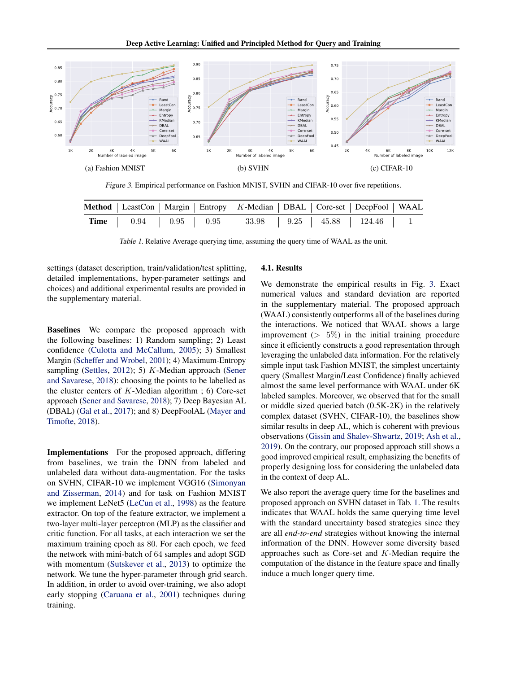

Figure 3. Empirical performance on Fashion MNIST, SVHN and CIFAR-10 over five repetitions.

|  |  | Method   LeastCon   Margin   Entropy   K-Median   DBAL   Core-set   DeepFool   WAAL |  |  |
|--|--|-------------------------------------------------------------------------------------|--|--|
|  |  | <b>Time</b>   0.94   0.95   0.95   33.98   9.25   45.88   124.46   1                |  |  |

Table 1. Relative Average querying time, assuming the query time of WAAL as the unit.

settings (dataset description, train/validation/test splitting, detailed implementations, hyper-parameter settings and choices) and additional experimental results are provided in the supplementary material.

Baselines We compare the proposed approach with the following baselines: 1) Random sampling; 2) Least confidence [\(Culotta and McCallum,](#page-7-0) [2005\)](#page-7-0); 3) Smallest Margin [\(Scheffer and Wrobel,](#page-8-0) [2001\)](#page-8-0); 4) Maximum-Entropy sampling [\(Settles,](#page-8-0) [2012\)](#page-8-0); 5)  $K$ -Median approach [\(Sener](#page-8-0) [and Savarese,](#page-8-0) [2018\)](#page-8-0): choosing the points to be labelled as the cluster centers of  $K$ -Median algorithm ; 6) Core-set approach [\(Sener and Savarese,](#page-8-0) [2018\)](#page-8-0); 7) Deep Bayesian AL (DBAL) [\(Gal et al.,](#page-7-0) [2017\)](#page-7-0); and 8) DeepFoolAL [\(Mayer and](#page-8-0) [Timofte,](#page-8-0) [2018\)](#page-8-0).

Implementations For the proposed approach, differing from baselines, we train the DNN from labeled and unlabeled data without data-augmentation. For the tasks on SVHN, CIFAR-10 we implement VGG16 [\(Simonyan](#page-8-0) [and Zisserman,](#page-8-0) [2014\)](#page-8-0) and for task on Fashion MNIST we implement LeNet5 [\(LeCun et al.,](#page-8-0) [1998\)](#page-8-0) as the feature extractor. On top of the feature extractor, we implement a two-layer multi-layer perceptron (MLP) as the classifier and critic function. For all tasks, at each interaction we set the maximum training epoch as 80. For each epoch, we feed the network with mini-batch of 64 samples and adopt SGD with momentum [\(Sutskever et al.,](#page-8-0) [2013\)](#page-8-0) to optimize the network. We tune the hyper-parameter through grid search. In addition, in order to avoid over-training, we also adopt early stopping [\(Caruana et al.,](#page-7-0) [2001\)](#page-7-0) techniques during training.

#### 4.1. Results

We demonstrate the empirical results in Fig. 3. Exact numerical values and standard deviation are reported in the supplementary material. The proposed approach (WAAL) consistently outperforms all of the baselines during the interactions. We noticed that WAAL shows a large improvement  $(> 5\%)$  in the initial training procedure since it efficiently constructs a good representation through leveraging the unlabeled data information. For the relatively simple input task Fashion MNIST, the simplest uncertainty query (Smallest Margin/Least Confidence) finally achieved almost the same level performance with WAAL under 6K labeled samples. Moreover, we observed that for the small or middle sized queried batch (0.5K-2K) in the relatively complex dataset (SVHN, CIFAR-10), the baselines show similar results in deep AL, which is coherent with previous observations [\(Gissin and Shalev-Shwartz,](#page-7-0) [2019;](#page-7-0) [Ash et al.,](#page-7-0) [2019\)](#page-7-0). On the contrary, our proposed approach still shows a good improved empirical result, emphasizing the benefits of properly designing loss for considering the unlabeled data in the context of deep AL.

We also report the average query time for the baselines and proposed approach on SVHN dataset in Tab. 1. The results indicates that WAAL holds the same querying time level with the standard uncertainty based strategies since they are all *end-to-end* strategies without knowing the internal information of the DNN. However some diversity based approaches such as Core-set and K-Median require the computation of the distance in the feature space and finally induce a much longer query time.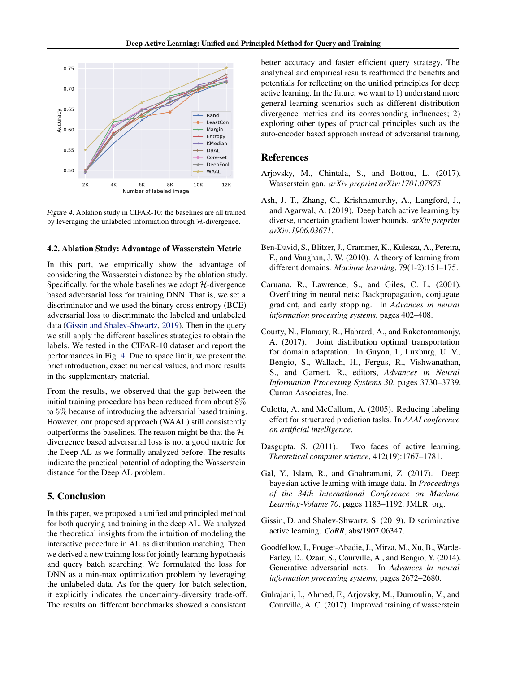<span id="page-7-0"></span>

Figure 4. Ablation study in CIFAR-10: the baselines are all trained by leveraging the unlabeled information through  $H$ -divergence.

#### 4.2. Ablation Study: Advantage of Wasserstein Metric

In this part, we empirically show the advantage of considering the Wasserstein distance by the ablation study. Specifically, for the whole baselines we adopt  $H$ -divergence based adversarial loss for training DNN. That is, we set a discriminator and we used the binary cross entropy (BCE) adversarial loss to discriminate the labeled and unlabeled data (Gissin and Shalev-Shwartz, 2019). Then in the query we still apply the different baselines strategies to obtain the labels. We tested in the CIFAR-10 dataset and report the performances in Fig. 4. Due to space limit, we present the brief introduction, exact numerical values, and more results in the supplementary material.

From the results, we observed that the gap between the initial training procedure has been reduced from about 8% to 5% because of introducing the adversarial based training. However, our proposed approach (WAAL) still consistently outperforms the baselines. The reason might be that the  $H$ divergence based adversarial loss is not a good metric for the Deep AL as we formally analyzed before. The results indicate the practical potential of adopting the Wasserstein distance for the Deep AL problem.

# 5. Conclusion

In this paper, we proposed a unified and principled method for both querying and training in the deep AL. We analyzed the theoretical insights from the intuition of modeling the interactive procedure in AL as distribution matching. Then we derived a new training loss for jointly learning hypothesis and query batch searching. We formulated the loss for DNN as a min-max optimization problem by leveraging the unlabeled data. As for the query for batch selection, it explicitly indicates the uncertainty-diversity trade-off. The results on different benchmarks showed a consistent

better accuracy and faster efficient query strategy. The analytical and empirical results reaffirmed the benefits and potentials for reflecting on the unified principles for deep active learning. In the future, we want to 1) understand more general learning scenarios such as different distribution divergence metrics and its corresponding influences; 2) exploring other types of practical principles such as the auto-encoder based approach instead of adversarial training.

# References

- Arjovsky, M., Chintala, S., and Bottou, L. (2017). Wasserstein gan. *arXiv preprint arXiv:1701.07875*.
- Ash, J. T., Zhang, C., Krishnamurthy, A., Langford, J., and Agarwal, A. (2019). Deep batch active learning by diverse, uncertain gradient lower bounds. *arXiv preprint arXiv:1906.03671*.
- Ben-David, S., Blitzer, J., Crammer, K., Kulesza, A., Pereira, F., and Vaughan, J. W. (2010). A theory of learning from different domains. *Machine learning*, 79(1-2):151–175.
- Caruana, R., Lawrence, S., and Giles, C. L. (2001). Overfitting in neural nets: Backpropagation, conjugate gradient, and early stopping. In *Advances in neural information processing systems*, pages 402–408.
- Courty, N., Flamary, R., Habrard, A., and Rakotomamonjy, A. (2017). Joint distribution optimal transportation for domain adaptation. In Guyon, I., Luxburg, U. V., Bengio, S., Wallach, H., Fergus, R., Vishwanathan, S., and Garnett, R., editors, *Advances in Neural Information Processing Systems 30*, pages 3730–3739. Curran Associates, Inc.
- Culotta, A. and McCallum, A. (2005). Reducing labeling effort for structured prediction tasks. In *AAAI conference on artificial intelligence*.
- Dasgupta, S. (2011). Two faces of active learning. *Theoretical computer science*, 412(19):1767–1781.
- Gal, Y., Islam, R., and Ghahramani, Z. (2017). Deep bayesian active learning with image data. In *Proceedings of the 34th International Conference on Machine Learning-Volume 70*, pages 1183–1192. JMLR. org.
- Gissin, D. and Shalev-Shwartz, S. (2019). Discriminative active learning. *CoRR*, abs/1907.06347.
- Goodfellow, I., Pouget-Abadie, J., Mirza, M., Xu, B., Warde-Farley, D., Ozair, S., Courville, A., and Bengio, Y. (2014). Generative adversarial nets. In *Advances in neural information processing systems*, pages 2672–2680.
- Gulrajani, I., Ahmed, F., Arjovsky, M., Dumoulin, V., and Courville, A. C. (2017). Improved training of wasserstein